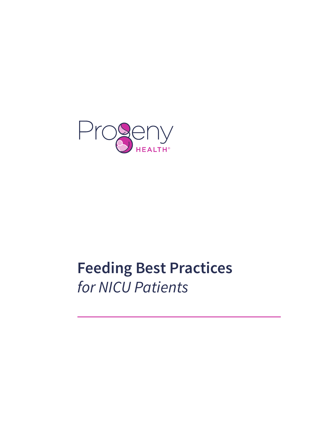

# **Feeding Best Practices** *for NICU Patients*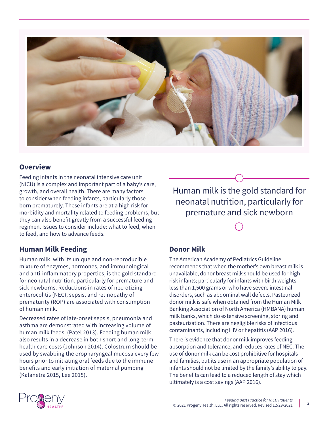

## **Overview**

Feeding infants in the neonatal intensive care unit (NICU) is a complex and important part of a baby's care, growth, and overall health. There are many factors to consider when feeding infants, particularly those born prematurely. These infants are at a high risk for morbidity and mortality related to feeding problems, but they can also benefit greatly from a successful feeding regimen. Issues to consider include: what to feed, when to feed, and how to advance feeds.

## **Human Milk Feeding**

Human milk, with its unique and non-reproducible mixture of enzymes, hormones, and immunological and anti-inflammatory properties, is the gold standard for neonatal nutrition, particularly for premature and sick newborns. Reductions in rates of necrotizing enterocolitis (NEC), sepsis, and retinopathy of prematurity (ROP) are associated with consumption of human milk.

Decreased rates of late-onset sepsis, pneumonia and asthma are demonstrated with increasing volume of human milk feeds. (Patel 2013). Feeding human milk also results in a decrease in both short and long-term health care costs (Johnson 2014). Colostrum should be used by swabbing the oropharyngeal mucosa every few hours prior to initiating oral feeds due to the immune benefits and early initiation of maternal pumping (Kalanetra 2015, Lee 2015).

Human milk is the gold standard for neonatal nutrition, particularly for premature and sick newborn

## **Donor Milk**

The American Academy of Pediatrics Guideline recommends that when the mother's own breast milk is unavailable, donor breast milk should be used for highrisk infants; particularly for infants with birth weights less than 1,500 grams or who have severe intestinal disorders, such as abdominal wall defects. Pasteurized donor milk is safe when obtained from the Human Milk Banking Association of North America (HMBANA) human milk banks, which do extensive screening, storing and pasteurization. There are negligible risks of infectious contaminants, including HIV or hepatitis (AAP 2016).

There is evidence that donor milk improves feeding absorption and tolerance, and reduces rates of NEC. The use of donor milk can be cost prohibitive for hospitals and families, but its use in an appropriate population of infants should not be limited by the family's ability to pay. The benefits can lead to a reduced length of stay which ultimately is a cost savings (AAP 2016).

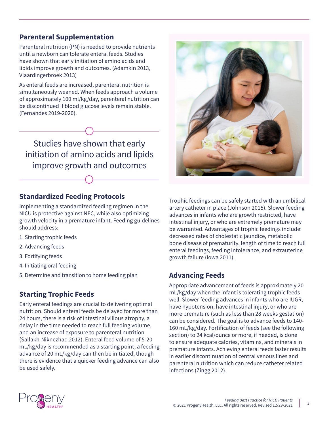# **Parenteral Supplementation**

Parenteral nutrition (PN) is needed to provide nutrients until a newborn can tolerate enteral feeds. Studies have shown that early initiation of amino acids and lipids improve growth and outcomes. (Adamkin 2013, Vlaardingerbroek 2013)

As enteral feeds are increased, parenteral nutrition is simultaneously weaned. When feeds approach a volume of approximately 100 ml/kg/day, parenteral nutrition can be discontinued if blood glucose levels remain stable. (Fernandes 2019-2020).

Studies have shown that early initiation of amino acids and lipids improve growth and outcomes

## **Standardized Feeding Protocols**

Implementing a standardized feeding regimen in the NICU is protective against NEC, while also optimizing growth velocity in a premature infant. Feeding guidelines should address:

- 1. Starting trophic feeds
- 2. Advancing feeds
- 3. Fortifying feeds
- 4. Initiating oral feeding
- 5. Determine and transition to home feeding plan

# **Starting Trophic Feeds**

Early enteral feedings are crucial to delivering optimal nutrition. Should enteral feeds be delayed for more than 24 hours, there is a risk of intestinal villous atrophy, a delay in the time needed to reach full feeding volume, and an increase of exposure to parenteral nutrition (Sallakh-Niknezhad 2012). Enteral feed volume of 5-20 mL/kg/day is recommended as a starting point; a feeding advance of 20 mL/kg/day can then be initiated, though there is evidence that a quicker feeding advance can also be used safely.



Trophic feedings can be safely started with an umbilical artery catheter in place (Johnson 2015). Slower feeding advances in infants who are growth restricted, have intestinal injury, or who are extremely premature may be warranted. Advantages of trophic feedings include: decreased rates of cholestatic jaundice, metabolic bone disease of prematurity, length of time to reach full enteral feedings, feeding intolerance, and extrauterine growth failure (Iowa 2011).

## **Advancing Feeds**

Appropriate advancement of feeds is approximately 20 mL/kg/day when the infant is tolerating trophic feeds well. Slower feeding advances in infants who are IUGR, have hypotension, have intestinal injury, or who are more premature (such as less than 28 weeks gestation) can be considered. The goal is to advance feeds to 140- 160 mL/kg/day. Fortification of feeds (see the following section) to 24 kcal/ounce or more, if needed, is done to ensure adequate calories, vitamins, and minerals in premature infants. Achieving enteral feeds faster results in earlier discontinuation of central venous lines and parenteral nutrition which can reduce catheter related infections (Zingg 2012).

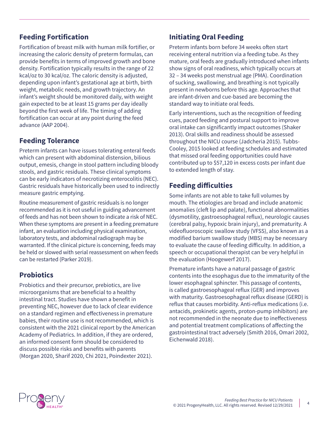# **Feeding Fortification**

Fortification of breast milk with human milk fortifier, or increasing the caloric density of preterm formulas, can provide benefits in terms of improved growth and bone density. Fortification typically results in the range of 22 kcal/oz to 30 kcal/oz. The caloric density is adjusted, depending upon infant's gestational age at birth, birth weight, metabolic needs, and growth trajectory. An infant's weight should be monitored daily, with weight gain expected to be at least 15 grams per day ideally beyond the first week of life. The timing of adding fortification can occur at any point during the feed advance (AAP 2004).

## **Feeding Tolerance**

Preterm infants can have issues tolerating enteral feeds which can present with abdominal distension, bilious output, emesis, change in stool pattern including bloody stools, and gastric residuals. These clinical symptoms can be early indicators of necrotizing enterocolitis (NEC). Gastric residuals have historically been used to indirectly measure gastric emptying.

Routine measurement of gastric residuals is no longer recommended as it is not useful in guiding advancement of feeds and has not been shown to indicate a risk of NEC. When these symptoms are present in a feeding premature infant, an evaluation including physical examination, laboratory tests, and abdominal radiograph may be warranted. If the clinical picture is concerning, feeds may be held or slowed with serial reassessment on when feeds can be restarted (Parker 2019).

## **Probiotics**

Probiotics and their precursor, prebiotics, are live microorganisms that are beneficial to a healthy intestinal tract. Studies have shown a benefit in preventing NEC, however due to lack of clear evidence on a standard regimen and effectiveness in premature babies, their routine use is not recommended, which is consistent with the 2021 clinical report by the American Academy of Pediatrics. In addition, if they are ordered, an informed consent form should be considered to discuss possible risks and benefits with parents (Morgan 2020, Sharif 2020, Chi 2021, Poindexter 2021).

# **Initiating Oral Feeding**

Preterm infants born before 34 weeks often start receiving enteral nutrition via a feeding tube. As they mature, oral feeds are gradually introduced when infants show signs of oral readiness, which typically occurs at 32 – 34 weeks post menstrual age (PMA). Coordination of sucking, swallowing, and breathing is not typically present in newborns before this age. Approaches that are infant-driven and cue-based are becoming the standard way to initiate oral feeds.

Early interventions, such as the recognition of feeding cues, paced feeding and postural support to improve oral intake can significantly impact outcomes (Shaker 2013). Oral skills and readiness should be assessed throughout the NICU course (Jadcheria 2015). Tubbs-Cooley, 2015 looked at feeding schedules and estimated that missed oral feeding opportunities could have contributed up to \$57,120 in excess costs per infant due to extended length of stay.

## **Feeding difficulties**

Some infants are not able to take full volumes by mouth. The etiologies are broad and include anatomic anomalies (cleft lip and palate), functional abnormalities (dysmotility, gastroesophageal reflux), neurologic causes (cerebral palsy, hypoxic brain injury), and prematurity. A videofluoroscopic swallow study (VFSS), also known as a modified barium swallow study (MBS) may be necessary to evaluate the cause of feeding difficulty. In addition, a speech or occupational therapist can be very helpful in the evaluation (Hoogewerf 2017).

Premature infants have a natural passage of gastric contents into the esophagus due to the immaturity of the lower esophageal sphincter. This passage of contents, is called gastroesophageal reflux (GER) and improves with maturity. Gastroesophageal reflux disease (GERD) is reflux that causes morbidity. Anti-reflux medications (i.e. antacids, prokinetic agents, proton-pump inhibitors) are not recommended in the neonate due to ineffectiveness and potential treatment complications of affecting the gastrointestinal tract adversely (Smith 2016, Omari 2002, Eichenwald 2018).

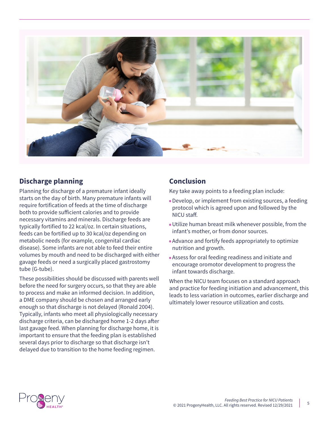

## **Discharge planning**

Planning for discharge of a premature infant ideally starts on the day of birth. Many premature infants will require fortification of feeds at the time of discharge both to provide sufficient calories and to provide necessary vitamins and minerals. Discharge feeds are typically fortified to 22 kcal/oz. In certain situations, feeds can be fortified up to 30 kcal/oz depending on metabolic needs (for example, congenital cardiac disease). Some infants are not able to feed their entire volumes by mouth and need to be discharged with either gavage feeds or need a surgically placed gastrostomy tube (G-tube).

These possibilities should be discussed with parents well before the need for surgery occurs, so that they are able to process and make an informed decision. In addition, a DME company should be chosen and arranged early enough so that discharge is not delayed (Ronald 2004). Typically, infants who meet all physiologically necessary discharge criteria, can be discharged home 1-2 days after last gavage feed. When planning for discharge home, it is important to ensure that the feeding plan is established several days prior to discharge so that discharge isn't delayed due to transition to the home feeding regimen.

## **Conclusion**

Key take away points to a feeding plan include:

- Develop, or implement from existing sources, a feeding protocol which is agreed upon and followed by the NICU staff.
- Utilize human breast milk whenever possible, from the infant's mother, or from donor sources.
- Advance and fortify feeds appropriately to optimize nutrition and growth.
- Assess for oral feeding readiness and initiate and encourage oromotor development to progress the infant towards discharge.

When the NICU team focuses on a standard approach and practice for feeding initiation and advancement, this leads to less variation in outcomes, earlier discharge and ultimately lower resource utilization and costs.

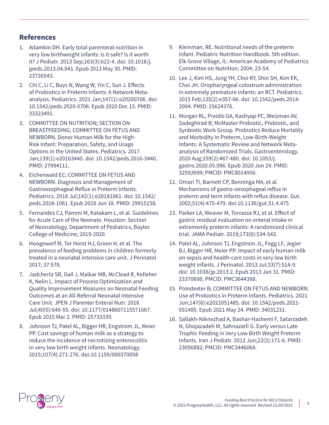## **References**

- 1. Adamkin DH. Early total parenteral nutrition in very low birthweight infants: is it safe? Is it worth it? J Pediatr. 2013 Sep;163(3):622-4. doi: 10.1016/j. jpeds.2013.04.041. Epub 2013 May 30. PMID: 23726543.
- 2. Chi C, Li C, Buys N, Wang W, Yin C, Sun J. Effects of Probiotics in Preterm Infants: A Network Metaanalysis. Pediatrics. 2021 Jan;147(1):e20200706. doi: 10.1542/peds.2020-0706. Epub 2020 Dec 15. PMID: 33323491.
- 3. COMMITTEE ON NUTRITION; SECTION ON BREASTFEEDING; COMMITTEE ON FETUS AND NEWBORN. Donor Human Milk for the High-Risk Infant: Preparation, Safety, and Usage Options in the United States. Pediatrics. 2017 Jan;139(1):e20163440. doi: 10.1542/peds.2016-3440. PMID: 27994111.
- 4. Eichenwald EC; COMMITTEE ON FETUS AND NEWBORN. Diagnosis and Management of Gastroesophageal Reflux in Preterm Infants. Pediatrics. 2018 Jul;142(1):e20181061. doi: 10.1542/ peds.2018-1061. Epub 2018 Jun 18. PMID: 29915158.
- 5. Fernandes CJ, Pammi M, Katakam L, et al. Guidelines for Acute Care of the Neonate. Houston: Section of Neonatology, Department of Pediatrics, Baylor College of Medicine; 2019-2020.
- 6. Hoogewerf M, Ter Horst HJ, Groen H, et al. The prevalence of feeding problems in children formerly treated in a neonatal intensive care unit. J Perinatol 2017; 37:578.
- 7. Jadcherla SR, Dail J, Malkar MB, McClead R, Kelleher K, Nelin L. Impact of Process Optimization and Quality Improvement Measures on Neonatal Feeding Outcomes at an All-Referral Neonatal Intensive Care Unit. JPEN J Parenter Enteral Nutr. 2016 Jul;40(5):646-55. doi: 10.1177/0148607115571667. Epub 2015 Mar 2. PMID: 25733339.
- 8. Johnson TJ, Patel AL, Bigger HR, Engstrom JL, Meier PP. Cost savings of human milk as a strategy to reduce the incidence of necrotizing enterocolitis in very low birth weight infants. Neonatology. 2015;107(4):271-276. doi:10.1159/000370058
- 9. Kleinman, RE. Nutritional needs of the preterm infant. Pediatric Nutrition Handbook. 5th edition. Elk Grove Village, IL: American Academy of Pediatrics Committee on Nutrition; 2004: 23-54.
- 10. Lee J, Kim HS, Jung YH, Choi KY, Shin SH, Kim EK, Choi JH. Oropharyngeal colostrum administration in extremely premature infants: an RCT. Pediatrics. 2015 Feb;135(2):e357-66. doi: 10.1542/peds.2014- 2004. PMID: 25624376.
- 11. Morgan RL, Preidis GA, Kashyap PC, Weizman AV, Sadeghirad B; McMaster Probiotic, Prebiotic, and Synbiotic Work Group. Probiotics Reduce Mortality and Morbidity in Preterm, Low-Birth-Weight Infants: A Systematic Review and Network Metaanalysis of Randomized Trials. Gastroenterology. 2020 Aug;159(2):467-480. doi: 10.1053/j. gastro.2020.05.096. Epub 2020 Jun 24. PMID: 32592699; PMCID: PMC8014956.
- 12. Omari TI, Barnett CP, Benninga MA, et al. Mechanisms of gastro-oesophageal reflux in preterm and term infants with reflux disease. Gut. 2002;51(4):475-479. doi:10.1136/gut.51.4.475
- 13. Parker LA, Weaver M, Torrazza RJ, et al. Effect of gastric residual evaluation on enteral intake in extrememly preterm infants: A randomized clinical trial. JAMA Pediatr. 2019;173(6):534-543.
- 14. Patel AL, Johnson TJ, Engstrom JL, Fogg LF, Jegier BJ, Bigger HR, Meier PP. Impact of early human milk on sepsis and health-care costs in very low birth weight infants. J Perinatol. 2013 Jul;33(7):514-9. doi: 10.1038/jp.2013.2. Epub 2013 Jan 31. PMID: 23370606; PMCID: PMC3644388.
- 15. Poindexter B; COMMITTEE ON FETUS AND NEWBORN. Use of Probiotics in Preterm Infants. Pediatrics. 2021 Jun;147(6):e2021051485. doi: 10.1542/peds.2021- 051485. Epub 2021 May 24. PMID: 34031231.
- 16. Sallakh-Niknezhad A, Bashar-Hashemi F, Satarzadeh N, Ghojazadeh M, Sahnazarli G. Early versus Late Trophic Feeding in Very Low Birth Weight Preterm Infants. Iran J Pediatr. 2012 Jun;22(2):171-6. PMID: 23056882; PMCID: PMC3446068.